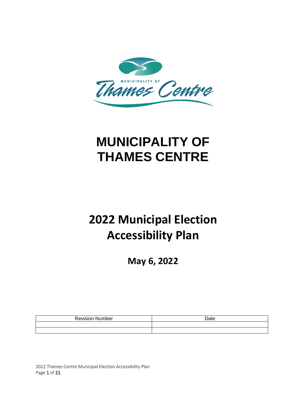

# **MUNICIPALITY OF THAMES CENTRE**

# **2022 Municipal Election Accessibility Plan**

**May 6, 2022**

| Revision<br>Number | Date |
|--------------------|------|
|                    |      |
|                    |      |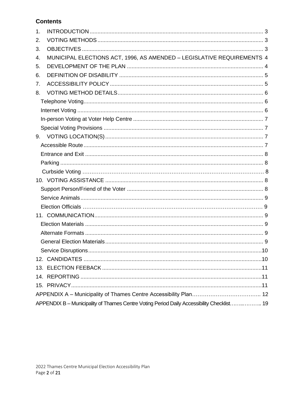# **Contents**

| $\mathbf{1}$ . |                                                                                           |  |
|----------------|-------------------------------------------------------------------------------------------|--|
| 2.             |                                                                                           |  |
| 3.             |                                                                                           |  |
| 4.             | MUNICIPAL ELECTIONS ACT, 1996, AS AMENDED - LEGISLATIVE REQUIREMENTS 4                    |  |
| 5.             |                                                                                           |  |
| 6.             |                                                                                           |  |
| 7.             |                                                                                           |  |
| 8.             |                                                                                           |  |
|                |                                                                                           |  |
|                |                                                                                           |  |
|                |                                                                                           |  |
|                |                                                                                           |  |
|                |                                                                                           |  |
|                |                                                                                           |  |
|                |                                                                                           |  |
|                |                                                                                           |  |
|                |                                                                                           |  |
|                |                                                                                           |  |
|                |                                                                                           |  |
|                |                                                                                           |  |
|                |                                                                                           |  |
|                |                                                                                           |  |
|                |                                                                                           |  |
|                |                                                                                           |  |
|                |                                                                                           |  |
|                |                                                                                           |  |
|                |                                                                                           |  |
|                |                                                                                           |  |
|                |                                                                                           |  |
|                |                                                                                           |  |
|                |                                                                                           |  |
|                | APPENDIX B - Municipality of Thames Centre Voting Period Daily Accessibility Checklist 19 |  |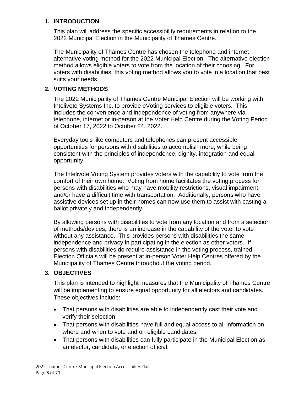## <span id="page-2-0"></span>**1. INTRODUCTION**

This plan will address the specific accessibility requirements in relation to the 2022 Municipal Election in the Municipality of Thames Centre.

The Municipality of Thames Centre has chosen the telephone and internet alternative voting method for the 2022 Municipal Election. The alternative election method allows eligible voters to vote from the location of their choosing. For voters with disabilities, this voting method allows you to vote in a location that best suits your needs

# <span id="page-2-1"></span>**2. VOTING METHODS**

The 2022 Municipality of Thames Centre Municipal Election will be working with Intelivote Systems Inc. to provide eVoting services to eligible voters. This includes the convenience and independence of voting from anywhere via telephone, internet or in-person at the Voter Help Centre during the Voting Period of October 17, 2022 to October 24, 2022.

Everyday tools like computers and telephones can present accessible opportunities for persons with disabilities to accomplish more, while being consistent with the principles of independence, dignity, integration and equal opportunity.

The Intelivote Voting System provides voters with the capability to vote from the comfort of their own home. Voting from home facilitates the voting process for persons with disabilities who may have mobility restrictions, visual impairment, and/or have a difficult time with transportation. Additionally, persons who have assistive devices set up in their homes can now use them to assist with casting a ballot privately and independently.

By allowing persons with disabilities to vote from any location and from a selection of methods/devices, there is an increase in the capability of the voter to vote without any assistance. This provides persons with disabilities the same independence and privacy in participating in the election as other voters. If persons with disabilities do require assistance in the voting process, trained Election Officials will be present at in-person Voter Help Centres offered by the Municipality of Thames Centre throughout the voting period.

# <span id="page-2-2"></span>**3. OBJECTIVES**

This plan is intended to highlight measures that the Municipality of Thames Centre will be implementing to ensure equal opportunity for all electors and candidates. These objectives include:

- That persons with disabilities are able to independently cast their vote and verify their selection.
- That persons with disabilities have full and equal access to all information on where and when to vote and on eligible candidates.
- That persons with disabilities can fully participate in the Municipal Election as an elector, candidate, or election official.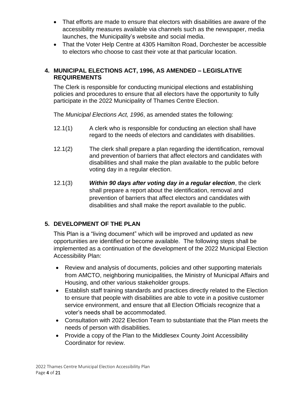- That efforts are made to ensure that electors with disabilities are aware of the accessibility measures available via channels such as the newspaper, media launches, the Municipality's website and social media.
- That the Voter Help Centre at 4305 Hamilton Road, Dorchester be accessible to electors who choose to cast their vote at that particular location.

# <span id="page-3-0"></span>**4. MUNICIPAL ELECTIONS ACT, 1996, AS AMENDED – LEGISLATIVE REQUIREMENTS**

The Clerk is responsible for conducting municipal elections and establishing policies and procedures to ensure that all electors have the opportunity to fully participate in the 2022 Municipality of Thames Centre Election.

The *Municipal Elections Act, 1996*, as amended states the following:

- 12.1(1) A clerk who is responsible for conducting an election shall have regard to the needs of electors and candidates with disabilities.
- 12.1(2) The clerk shall prepare a plan regarding the identification, removal and prevention of barriers that affect electors and candidates with disabilities and shall make the plan available to the public before voting day in a regular election.
- 12.1(3) *Within 90 days after voting day in a regular election*, the clerk shall prepare a report about the identification, removal and prevention of barriers that affect electors and candidates with disabilities and shall make the report available to the public.

# <span id="page-3-1"></span>**5. DEVELOPMENT OF THE PLAN**

This Plan is a "living document" which will be improved and updated as new opportunities are identified or become available. The following steps shall be implemented as a continuation of the development of the 2022 Municipal Election Accessibility Plan:

- Review and analysis of documents, policies and other supporting materials from AMCTO, neighboring municipalities, the Ministry of Municipal Affairs and Housing, and other various stakeholder groups.
- Establish staff training standards and practices directly related to the Election to ensure that people with disabilities are able to vote in a positive customer service environment, and ensure that all Election Officials recognize that a voter's needs shall be accommodated.
- Consultation with 2022 Election Team to substantiate that the Plan meets the needs of person with disabilities.
- Provide a copy of the Plan to the Middlesex County Joint Accessibility Coordinator for review.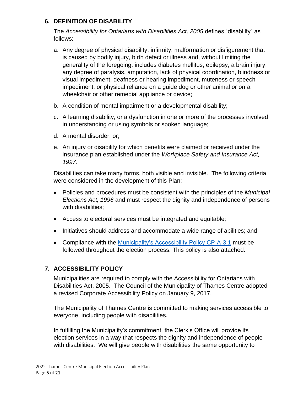# <span id="page-4-0"></span>**6. DEFINITION OF DISABILITY**

The *Accessibility for Ontarians with Disabilities Act, 2005* defines "disability" as follows:

- a. Any degree of physical disability, infirmity, malformation or disfigurement that is caused by bodily injury, birth defect or illness and, without limiting the generality of the foregoing, includes diabetes mellitus, epilepsy, a brain injury, any degree of paralysis, amputation, lack of physical coordination, blindness or visual impediment, deafness or hearing impediment, muteness or speech impediment, or physical reliance on a guide dog or other animal or on a wheelchair or other remedial appliance or device;
- b. A condition of mental impairment or a developmental disability;
- c. A learning disability, or a dysfunction in one or more of the processes involved in understanding or using symbols or spoken language;
- d. A mental disorder, or;
- e. An injury or disability for which benefits were claimed or received under the insurance plan established under the *Workplace Safety and Insurance Act, 1997*.

Disabilities can take many forms, both visible and invisible. The following criteria were considered in the development of this Plan:

- Policies and procedures must be consistent with the principles of the *Municipal Elections Act, 1996* and must respect the dignity and independence of persons with disabilities;
- Access to electoral services must be integrated and equitable;
- Initiatives should address and accommodate a wide range of abilities; and
- Compliance with the [Municipality's Accessibility Policy CP-A-3.1](https://www.thamescentre.on.ca/sites/default/files/2019-05/AccessibilityPolicyProcedures-2017.pdf) must be followed throughout the election process. This policy is also attached.

# <span id="page-4-1"></span>**7. ACCESSIBILITY POLICY**

Municipalities are required to comply with the Accessibility for Ontarians with Disabilities Act, 2005. The Council of the Municipality of Thames Centre adopted a revised Corporate Accessibility Policy on January 9, 2017.

The Municipality of Thames Centre is committed to making services accessible to everyone, including people with disabilities.

In fulfilling the Municipality's commitment, the Clerk's Office will provide its election services in a way that respects the dignity and independence of people with disabilities. We will give people with disabilities the same opportunity to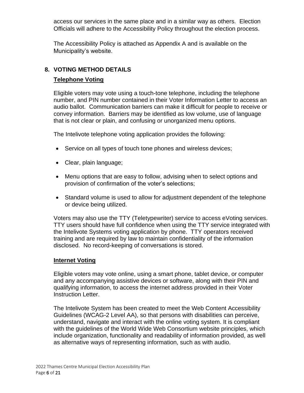access our services in the same place and in a similar way as others. Election Officials will adhere to the Accessibility Policy throughout the election process.

The Accessibility Policy is attached as Appendix A and is available on the Municipality's website.

# <span id="page-5-1"></span><span id="page-5-0"></span>**8. VOTING METHOD DETAILS**

# **Telephone Voting**

Eligible voters may vote using a touch-tone telephone, including the telephone number, and PIN number contained in their Voter Information Letter to access an audio ballot. Communication barriers can make it difficult for people to receive or convey information. Barriers may be identified as low volume, use of language that is not clear or plain, and confusing or unorganized menu options.

The Intelivote telephone voting application provides the following:

- Service on all types of touch tone phones and wireless devices;
- Clear, plain language;
- Menu options that are easy to follow, advising when to select options and provision of confirmation of the voter's selections;
- Standard volume is used to allow for adjustment dependent of the telephone or device being utilized.

Voters may also use the TTY (Teletypewriter) service to access eVoting services. TTY users should have full confidence when using the TTY service integrated with the Intelivote Systems voting application by phone. TTY operators received training and are required by law to maintain confidentiality of the information disclosed. No record-keeping of conversations is stored.

#### <span id="page-5-2"></span>**Internet Voting**

Eligible voters may vote online, using a smart phone, tablet device, or computer and any accompanying assistive devices or software, along with their PIN and qualifying information, to access the internet address provided in their Voter Instruction Letter.

The Intelivote System has been created to meet the Web Content Accessibility Guidelines (WCAG-2 Level AA), so that persons with disabilities can perceive, understand, navigate and interact with the online voting system. It is compliant with the guidelines of the World Wide Web Consortium website principles, which include organization, functionality and readability of information provided, as well as alternative ways of representing information, such as with audio.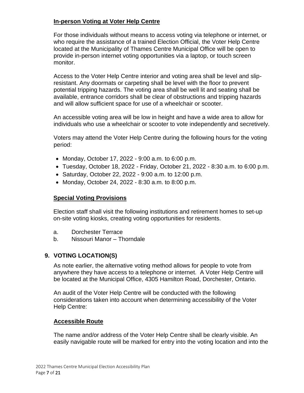## <span id="page-6-0"></span>**In-person Voting at Voter Help Centre**

For those individuals without means to access voting via telephone or internet, or who require the assistance of a trained Election Official, the Voter Help Centre located at the Municipality of Thames Centre Municipal Office will be open to provide in-person internet voting opportunities via a laptop, or touch screen monitor.

Access to the Voter Help Centre interior and voting area shall be level and slipresistant. Any doormats or carpeting shall be level with the floor to prevent potential tripping hazards. The voting area shall be well lit and seating shall be available, entrance corridors shall be clear of obstructions and tripping hazards and will allow sufficient space for use of a wheelchair or scooter.

An accessible voting area will be low in height and have a wide area to allow for individuals who use a wheelchair or scooter to vote independently and secretively.

Voters may attend the Voter Help Centre during the following hours for the voting period:

- Monday, October 17, 2022 9:00 a.m. to 6:00 p.m.
- Tuesday, October 18, 2022 Friday, October 21, 2022 8:30 a.m. to 6:00 p.m.
- Saturday, October 22, 2022 9:00 a.m. to 12:00 p.m.
- Monday, October 24, 2022 8:30 a.m. to 8:00 p.m.

#### <span id="page-6-1"></span>**Special Voting Provisions**

Election staff shall visit the following institutions and retirement homes to set-up on-site voting kiosks, creating voting opportunities for residents.

- a. Dorchester Terrace
- b. Nissouri Manor Thorndale

#### <span id="page-6-2"></span>**9. VOTING LOCATION(S)**

As note earlier, the alternative voting method allows for people to vote from anywhere they have access to a telephone or internet. A Voter Help Centre will be located at the Municipal Office, 4305 Hamilton Road, Dorchester, Ontario.

An audit of the Voter Help Centre will be conducted with the following considerations taken into account when determining accessibility of the Voter Help Centre:

#### <span id="page-6-3"></span>**Accessible Route**

The name and/or address of the Voter Help Centre shall be clearly visible. An easily navigable route will be marked for entry into the voting location and into the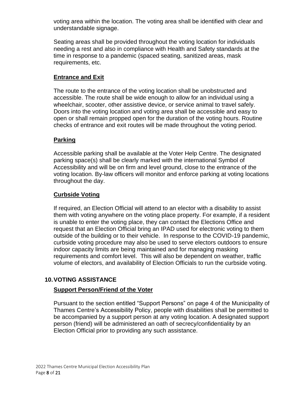voting area within the location. The voting area shall be identified with clear and understandable signage.

Seating areas shall be provided throughout the voting location for individuals needing a rest and also in compliance with Health and Safety standards at the time in response to a pandemic (spaced seating, sanitized areas, mask requirements, etc.

# <span id="page-7-0"></span>**Entrance and Exit**

The route to the entrance of the voting location shall be unobstructed and accessible. The route shall be wide enough to allow for an individual using a wheelchair, scooter, other assistive device, or service animal to travel safely. Doors into the voting location and voting area shall be accessible and easy to open or shall remain propped open for the duration of the voting hours. Routine checks of entrance and exit routes will be made throughout the voting period.

# <span id="page-7-1"></span>**Parking**

Accessible parking shall be available at the Voter Help Centre. The designated parking space(s) shall be clearly marked with the international Symbol of Accessibility and will be on firm and level ground, close to the entrance of the voting location. By-law officers will monitor and enforce parking at voting locations throughout the day.

# **Curbside Voting**

If required, an Election Official will attend to an elector with a disability to assist them with voting anywhere on the voting place property. For example, if a resident is unable to enter the voting place, they can contact the Elections Office and request that an Election Official bring an IPAD used for electronic voting to them outside of the building or to their vehicle. In response to the COVID-19 pandemic, curbside voting procedure may also be used to serve electors outdoors to ensure indoor capacity limits are being maintained and for managing masking requirements and comfort level. This will also be dependent on weather, traffic volume of electors, and availability of Election Officials to run the curbside voting.

# <span id="page-7-3"></span><span id="page-7-2"></span>**10.VOTING ASSISTANCE**

# **Support Person/Friend of the Voter**

Pursuant to the section entitled "Support Persons" on page 4 of the Municipality of Thames Centre's Accessibility Policy, people with disabilities shall be permitted to be accompanied by a support person at any voting location. A designated support person (friend) will be administered an oath of secrecy/confidentiality by an Election Official prior to providing any such assistance.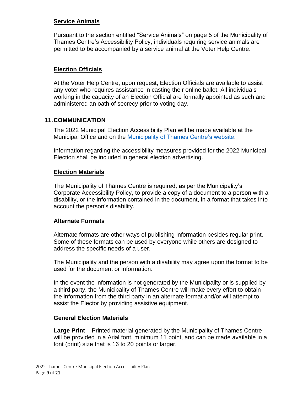## <span id="page-8-0"></span>**Service Animals**

Pursuant to the section entitled "Service Animals" on page 5 of the Municipality of Thames Centre's Accessibility Policy, individuals requiring service animals are permitted to be accompanied by a service animal at the Voter Help Centre.

# **Election Officials**

At the Voter Help Centre, upon request, Election Officials are available to assist any voter who requires assistance in casting their online ballot. All individuals working in the capacity of an Election Official are formally appointed as such and administered an oath of secrecy prior to voting day.

#### <span id="page-8-1"></span>**11.COMMUNICATION**

The 2022 Municipal Election Accessibility Plan will be made available at the Municipal Office and on the [Municipality of Thames Centre's website.](http://www.thamescentre.on.ca/)

Information regarding the accessibility measures provided for the 2022 Municipal Election shall be included in general election advertising.

#### <span id="page-8-2"></span>**Election Materials**

The Municipality of Thames Centre is required, as per the Municipality's Corporate Accessibility Policy, to provide a copy of a document to a person with a disability, or the information contained in the document, in a format that takes into account the person's disability.

#### <span id="page-8-3"></span>**Alternate Formats**

Alternate formats are other ways of publishing information besides regular print. Some of these formats can be used by everyone while others are designed to address the specific needs of a user.

The Municipality and the person with a disability may agree upon the format to be used for the document or information.

In the event the information is not generated by the Municipality or is supplied by a third party, the Municipality of Thames Centre will make every effort to obtain the information from the third party in an alternate format and/or will attempt to assist the Elector by providing assistive equipment.

#### <span id="page-8-4"></span>**General Election Materials**

**Large Print** – Printed material generated by the Municipality of Thames Centre will be provided in a Arial font, minimum 11 point, and can be made available in a font (print) size that is 16 to 20 points or larger.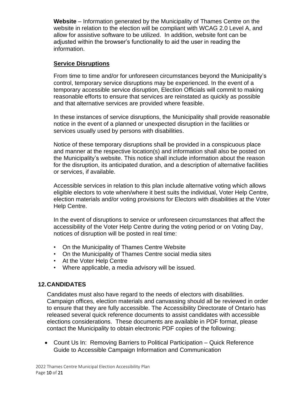**Website** – Information generated by the Municipality of Thames Centre on the website in relation to the election will be compliant with WCAG 2.0 Level A, and allow for assistive software to be utilized. In addition, website font can be adjusted within the browser's functionality to aid the user in reading the information.

# <span id="page-9-0"></span>**Service Disruptions**

From time to time and/or for unforeseen circumstances beyond the Municipality's control, temporary service disruptions may be experienced. In the event of a temporary accessible service disruption, Election Officials will commit to making reasonable efforts to ensure that services are reinstated as quickly as possible and that alternative services are provided where feasible.

In these instances of service disruptions, the Municipality shall provide reasonable notice in the event of a planned or unexpected disruption in the facilities or services usually used by persons with disabilities.

Notice of these temporary disruptions shall be provided in a conspicuous place and manner at the respective location(s) and information shall also be posted on the Municipality's website. This notice shall include information about the reason for the disruption, its anticipated duration, and a description of alternative facilities or services, if available.

Accessible services in relation to this plan include alternative voting which allows eligible electors to vote when/where it best suits the individual, Voter Help Centre, election materials and/or voting provisions for Electors with disabilities at the Voter Help Centre.

In the event of disruptions to service or unforeseen circumstances that affect the accessibility of the Voter Help Centre during the voting period or on Voting Day, notices of disruption will be posted in real time:

- On the Municipality of Thames Centre Website
- On the Municipality of Thames Centre social media sites
- At the Voter Help Centre
- Where applicable, a media advisory will be issued.

#### <span id="page-9-1"></span>**12.CANDIDATES**

Candidates must also have regard to the needs of electors with disabilities. Campaign offices, election materials and canvassing should all be reviewed in order to ensure that they are fully accessible. The Accessibility Directorate of Ontario has released several quick reference documents to assist candidates with accessible elections considerations. These documents are available in PDF format, please contact the Municipality to obtain electronic PDF copies of the following:

• Count Us In: Removing Barriers to Political Participation – Quick Reference Guide to Accessible Campaign Information and Communication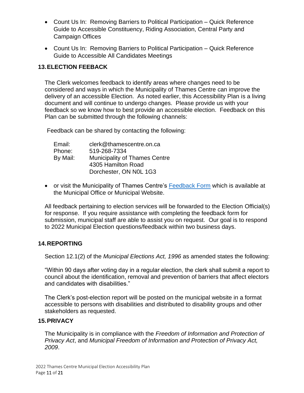- Count Us In: Removing Barriers to Political Participation Quick Reference Guide to Accessible Constituency, Riding Association, Central Party and Campaign Offices
- Count Us In: Removing Barriers to Political Participation Quick Reference Guide to Accessible All Candidates Meetings

# <span id="page-10-0"></span>**13.ELECTION FEEBACK**

The Clerk welcomes feedback to identify areas where changes need to be considered and ways in which the Municipality of Thames Centre can improve the delivery of an accessible Election. As noted earlier, this Accessibility Plan is a living document and will continue to undergo changes. Please provide us with your feedback so we know how to best provide an accessible election. Feedback on this Plan can be submitted through the following channels:

Feedback can be shared by contacting the following:

| Email:   | clerk@thamescentre.on.ca             |
|----------|--------------------------------------|
| Phone:   | 519-268-7334                         |
| By Mail: | <b>Municipality of Thames Centre</b> |
|          | 4305 Hamilton Road                   |
|          | Dorchester, ON N0L 1G3               |

• or visit the Municipality of Thames Centre's [Feedback Form](https://www.thamescentre.on.ca/services/residents/feedback-and-complaints) which is available at the Municipal Office or Municipal Website.

All feedback pertaining to election services will be forwarded to the Election Official(s) for response. If you require assistance with completing the feedback form for submission, municipal staff are able to assist you on request. Our goal is to respond to 2022 Municipal Election questions/feedback within two business days.

# <span id="page-10-1"></span>**14.REPORTING**

Section 12.1(2) of the *Municipal Elections Act, 1996* as amended states the following:

"Within 90 days after voting day in a regular election, the clerk shall submit a report to council about the identification, removal and prevention of barriers that affect electors and candidates with disabilities."

The Clerk's post-election report will be posted on the municipal website in a format accessible to persons with disabilities and distributed to disability groups and other stakeholders as requested.

#### **15.PRIVACY**

The Municipality is in compliance with the *Freedom of Information and Protection of Privacy Act*, and *Municipal Freedom of Information and Protection of Privacy Act, 2009*.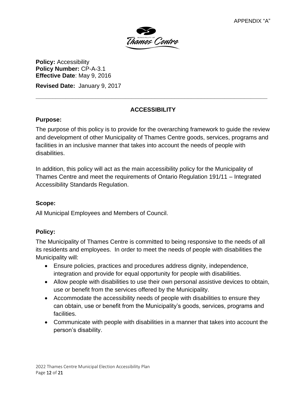

**Policy: Accessibility Policy Number:** CP-A-3.1 **Effective Date**: May 9, 2016

**Revised Date:** January 9, 2017

# **ACCESSIBILITY**

**\_\_\_\_\_\_\_\_\_\_\_\_\_\_\_\_\_\_\_\_\_\_\_\_\_\_\_\_\_\_\_\_\_\_\_\_\_\_\_\_\_\_\_\_\_\_\_\_\_\_\_\_\_\_\_\_\_\_\_\_\_\_\_\_\_\_\_\_\_\_**

# **Purpose:**

The purpose of this policy is to provide for the overarching framework to guide the review and development of other Municipality of Thames Centre goods, services, programs and facilities in an inclusive manner that takes into account the needs of people with disabilities.

In addition, this policy will act as the main accessibility policy for the Municipality of Thames Centre and meet the requirements of Ontario Regulation 191/11 – Integrated Accessibility Standards Regulation.

# **Scope:**

All Municipal Employees and Members of Council.

# **Policy:**

The Municipality of Thames Centre is committed to being responsive to the needs of all its residents and employees. In order to meet the needs of people with disabilities the Municipality will:

- Ensure policies, practices and procedures address dignity, independence, integration and provide for equal opportunity for people with disabilities.
- Allow people with disabilities to use their own personal assistive devices to obtain, use or benefit from the services offered by the Municipality.
- Accommodate the accessibility needs of people with disabilities to ensure they can obtain, use or benefit from the Municipality's goods, services, programs and facilities.
- Communicate with people with disabilities in a manner that takes into account the person's disability.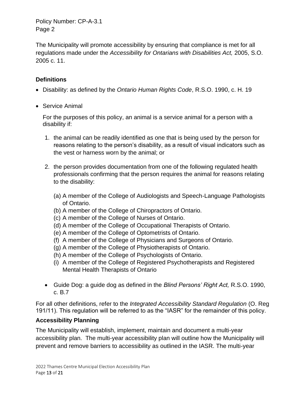The Municipality will promote accessibility by ensuring that compliance is met for all regulations made under the *Accessibility for Ontarians with Disabilities Act,* 2005, S.O. 2005 c. 11.

# **Definitions**

- Disability: as defined by the *Ontario Human Rights Code*, R.S.O. 1990, c. H. 19
- Service Animal

For the purposes of this policy, an animal is a service animal for a person with a disability if:

- 1. the animal can be readily identified as one that is being used by the person for reasons relating to the person's disability, as a result of visual indicators such as the vest or harness worn by the animal; or
- 2. the person provides documentation from one of the following regulated health professionals confirming that the person requires the animal for reasons relating to the disability:
	- (a) A member of the College of Audiologists and Speech-Language Pathologists of Ontario.
	- (b) A member of the College of Chiropractors of Ontario.
	- (c) A member of the College of Nurses of Ontario.
	- (d) A member of the College of Occupational Therapists of Ontario.
	- (e) A member of the College of Optometrists of Ontario.
	- (f) A member of the College of Physicians and Surgeons of Ontario.
	- (g) A member of the College of Physiotherapists of Ontario.
	- (h) A member of the College of Psychologists of Ontario.
	- (i) A member of the College of Registered Psychotherapists and Registered Mental Health Therapists of Ontario
- Guide Dog: a guide dog as defined in the *Blind Persons' Right Act,* R.S.O. 1990, c. B.7

For all other definitions, refer to the *Integrated Accessibility Standard Regulation* (O. Reg 191/11). This regulation will be referred to as the "IASR" for the remainder of this policy.

# **Accessibility Planning**

The Municipality will establish, implement, maintain and document a multi-year accessibility plan. The multi-year accessibility plan will outline how the Municipality will prevent and remove barriers to accessibility as outlined in the IASR. The multi-year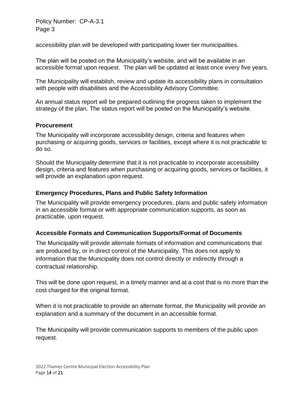accessibility plan will be developed with participating lower tier municipalities.

The plan will be posted on the Municipality's website, and will be available in an accessible format upon request. The plan will be updated at least once every five years.

The Municipality will establish, review and update its accessibility plans in consultation with people with disabilities and the Accessibility Advisory Committee.

An annual status report will be prepared outlining the progress taken to implement the strategy of the plan. The status report will be posted on the Municipality's website.

#### **Procurement**

The Municipality will incorporate accessibility design, criteria and features when purchasing or acquiring goods, services or facilities, except where it is not practicable to do so.

Should the Municipality determine that it is not practicable to incorporate accessibility design, criteria and features when purchasing or acquiring goods, services or facilities, it will provide an explanation upon request.

#### **Emergency Procedures, Plans and Public Safety Information**

The Municipality will provide emergency procedures, plans and public safety information in an accessible format or with appropriate communication supports, as soon as practicable, upon request.

#### **Accessible Formats and Communication Supports/Format of Documents**

The Municipality will provide alternate formats of information and communications that are produced by, or in direct control of the Municipality. This does not apply to information that the Municipality does not control directly or indirectly through a contractual relationship.

This will be done upon request, in a timely manner and at a cost that is no more than the cost charged for the original format.

When it is not practicable to provide an alternate format, the Municipality will provide an explanation and a summary of the document in an accessible format.

The Municipality will provide communication supports to members of the public upon request.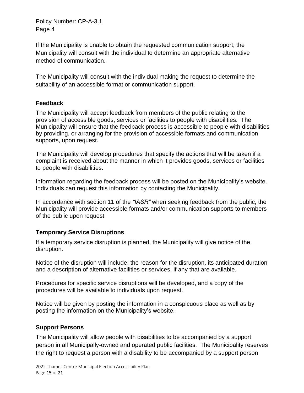If the Municipality is unable to obtain the requested communication support, the Municipality will consult with the individual to determine an appropriate alternative method of communication.

The Municipality will consult with the individual making the request to determine the suitability of an accessible format or communication support.

# **Feedback**

The Municipality will accept feedback from members of the public relating to the provision of accessible goods, services or facilities to people with disabilities. The Municipality will ensure that the feedback process is accessible to people with disabilities by providing, or arranging for the provision of accessible formats and communication supports, upon request.

The Municipality will develop procedures that specify the actions that will be taken if a complaint is received about the manner in which it provides goods, services or facilities to people with disabilities.

Information regarding the feedback process will be posted on the Municipality's website. Individuals can request this information by contacting the Municipality.

In accordance with section 11 of the *"IASR"* when seeking feedback from the public, the Municipality will provide accessible formats and/or communication supports to members of the public upon request.

# **Temporary Service Disruptions**

If a temporary service disruption is planned, the Municipality will give notice of the disruption.

Notice of the disruption will include: the reason for the disruption, its anticipated duration and a description of alternative facilities or services, if any that are available.

Procedures for specific service disruptions will be developed, and a copy of the procedures will be available to individuals upon request.

Notice will be given by posting the information in a conspicuous place as well as by posting the information on the Municipality's website.

# **Support Persons**

The Municipality will allow people with disabilities to be accompanied by a support person in all Municipally-owned and operated public facilities. The Municipality reserves the right to request a person with a disability to be accompanied by a support person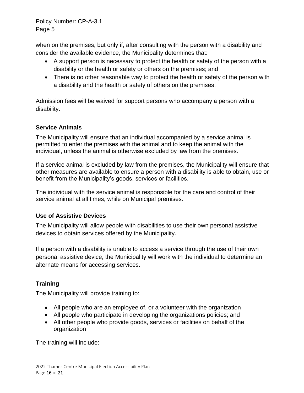when on the premises, but only if, after consulting with the person with a disability and consider the available evidence, the Municipality determines that:

- A support person is necessary to protect the health or safety of the person with a disability or the health or safety or others on the premises; and
- There is no other reasonable way to protect the health or safety of the person with a disability and the health or safety of others on the premises.

Admission fees will be waived for support persons who accompany a person with a disability.

# **Service Animals**

The Municipality will ensure that an individual accompanied by a service animal is permitted to enter the premises with the animal and to keep the animal with the individual, unless the animal is otherwise excluded by law from the premises.

If a service animal is excluded by law from the premises, the Municipality will ensure that other measures are available to ensure a person with a disability is able to obtain, use or benefit from the Municipality's goods, services or facilities.

The individual with the service animal is responsible for the care and control of their service animal at all times, while on Municipal premises.

# **Use of Assistive Devices**

The Municipality will allow people with disabilities to use their own personal assistive devices to obtain services offered by the Municipality.

If a person with a disability is unable to access a service through the use of their own personal assistive device, the Municipality will work with the individual to determine an alternate means for accessing services.

# **Training**

The Municipality will provide training to:

- All people who are an employee of, or a volunteer with the organization
- All people who participate in developing the organizations policies; and
- All other people who provide goods, services or facilities on behalf of the organization

The training will include: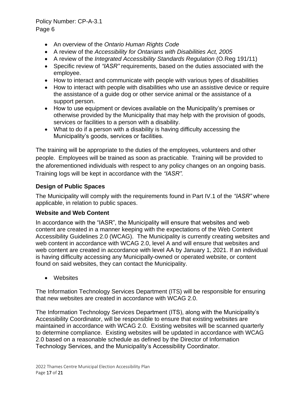- An overview of the *Ontario Human Rights Code*
- A review of the *Accessibility for Ontarians with Disabilities Act, 2005*
- A review of the *Integrated Accessibility Standards Regulation* (O.Reg 191/11)
- Specific review of *"IASR"* requirements, based on the duties associated with the employee.
- How to interact and communicate with people with various types of disabilities
- How to interact with people with disabilities who use an assistive device or require the assistance of a guide dog or other service animal or the assistance of a support person.
- How to use equipment or devices available on the Municipality's premises or otherwise provided by the Municipality that may help with the provision of goods, services or facilities to a person with a disability.
- What to do if a person with a disability is having difficulty accessing the Municipality's goods, services or facilities.

The training will be appropriate to the duties of the employees, volunteers and other people. Employees will be trained as soon as practicable. Training will be provided to the aforementioned individuals with respect to any policy changes on an ongoing basis. Training logs will be kept in accordance with the *"IASR".*

# **Design of Public Spaces**

The Municipality will comply with the requirements found in Part IV.1 of the *"IASR"* where applicable, in relation to public spaces.

#### **Website and Web Content**

In accordance with the "IASR", the Municipality will ensure that websites and web content are created in a manner keeping with the expectations of the Web Content Accessibility Guidelines 2.0 (WCAG). The Municipality is currently creating websites and web content in accordance with WCAG 2.0, level A and will ensure that websites and web content are created in accordance with level AA by January 1, 2021. If an individual is having difficulty accessing any Municipally-owned or operated website, or content found on said websites, they can contact the Municipality.

• Websites

The Information Technology Services Department (ITS) will be responsible for ensuring that new websites are created in accordance with WCAG 2.0.

The Information Technology Services Department (ITS), along with the Municipality's Accessibility Coordinator, will be responsible to ensure that existing websites are maintained in accordance with WCAG 2.0. Existing websites will be scanned quarterly to determine compliance. Existing websites will be updated in accordance with WCAG 2.0 based on a reasonable schedule as defined by the Director of Information Technology Services, and the Municipality's Accessibility Coordinator.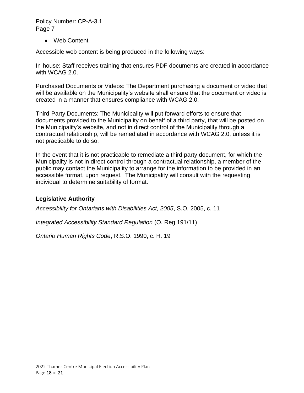• Web Content

Accessible web content is being produced in the following ways:

In-house: Staff receives training that ensures PDF documents are created in accordance with WCAG 2.0.

Purchased Documents or Videos: The Department purchasing a document or video that will be available on the Municipality's website shall ensure that the document or video is created in a manner that ensures compliance with WCAG 2.0.

Third-Party Documents: The Municipality will put forward efforts to ensure that documents provided to the Municipality on behalf of a third party, that will be posted on the Municipality's website, and not in direct control of the Municipality through a contractual relationship, will be remediated in accordance with WCAG 2.0, unless it is not practicable to do so.

In the event that it is not practicable to remediate a third party document, for which the Municipality is not in direct control through a contractual relationship, a member of the public may contact the Municipality to arrange for the information to be provided in an accessible format, upon request. The Municipality will consult with the requesting individual to determine suitability of format.

#### **Legislative Authority**

*Accessibility for Ontarians with Disabilities Act, 2005*, S.O. 2005, c. 11

*Integrated Accessibility Standard Regulation* (O. Reg 191/11)

*Ontario Human Rights Code*, R.S.O. 1990, c. H. 19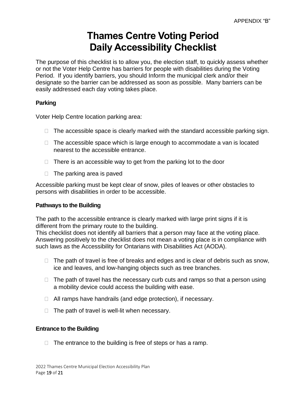# **Thames Centre Voting Period Daily Accessibility Checklist**

The purpose of this checklist is to allow you, the election staff, to quickly assess whether or not the Voter Help Centre has barriers for people with disabilities during the Voting Period. If you identify barriers, you should Inform the municipal clerk and/or their designate so the barrier can be addressed as soon as possible. Many barriers can be easily addressed each day voting takes place.

#### **Parking**

Voter Help Centre location parking area:

- $\Box$  The accessible space is clearly marked with the standard accessible parking sign.
- $\Box$  The accessible space which is large enough to accommodate a van is located nearest to the accessible entrance.
- $\Box$  There is an accessible way to get from the parking lot to the door
- $\Box$  The parking area is paved

Accessible parking must be kept clear of snow, piles of leaves or other obstacles to persons with disabilities in order to be accessible.

#### **Pathways to the Building**

The path to the accessible entrance is clearly marked with large print signs if it is different from the primary route to the building.

This checklist does not identify all barriers that a person may face at the voting place. Answering positively to the checklist does not mean a voting place is in compliance with such laws as the Accessibility for Ontarians with Disabilities Act (AODA).

- $\Box$  The path of travel is free of breaks and edges and is clear of debris such as snow, ice and leaves, and low-hanging objects such as tree branches.
- $\Box$  The path of travel has the necessary curb cuts and ramps so that a person using a mobility device could access the building with ease.
- □ All ramps have handrails (and edge protection), if necessary.
- $\Box$  The path of travel is well-lit when necessary.

#### **Entrance to the Building**

 $\Box$  The entrance to the building is free of steps or has a ramp.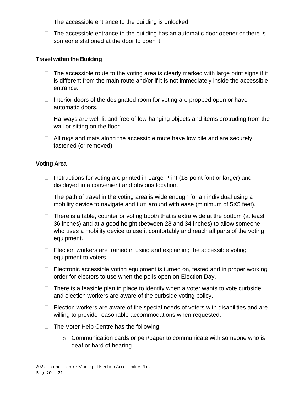- $\Box$  The accessible entrance to the building is unlocked.
- $\Box$  The accessible entrance to the building has an automatic door opener or there is someone stationed at the door to open it.

#### **Travel within the Building**

- $\Box$  The accessible route to the voting area is clearly marked with large print signs if it is different from the main route and/or if it is not immediately inside the accessible entrance.
- $\Box$  Interior doors of the designated room for voting are propped open or have automatic doors.
- $\Box$  Hallways are well-lit and free of low-hanging objects and items protruding from the wall or sitting on the floor.
- $\Box$  All rugs and mats along the accessible route have low pile and are securely fastened (or removed).

#### **Voting Area**

- $\Box$  Instructions for voting are printed in Large Print (18-point font or larger) and displayed in a convenient and obvious location.
- $\Box$  The path of travel in the voting area is wide enough for an individual using a mobility device to navigate and turn around with ease (minimum of 5X5 feet).
- $\Box$  There is a table, counter or voting booth that is extra wide at the bottom (at least 36 inches) and at a good height (between 28 and 34 inches) to allow someone who uses a mobility device to use it comfortably and reach all parts of the voting equipment.
- $\Box$  Election workers are trained in using and explaining the accessible voting equipment to voters.
- $\Box$  Electronic accessible voting equipment is turned on, tested and in proper working order for electors to use when the polls open on Election Day.
- $\Box$  There is a feasible plan in place to identify when a voter wants to vote curbside, and election workers are aware of the curbside voting policy.
- $\Box$  Election workers are aware of the special needs of voters with disabilities and are willing to provide reasonable accommodations when requested.
- $\Box$  The Voter Help Centre has the following:
	- $\circ$  Communication cards or pen/paper to communicate with someone who is deaf or hard of hearing.